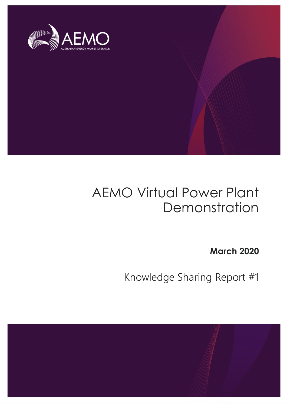

# AEMO Virtual Power Plant Demonstration

**March 2020**

Knowledge Sharing Report #1

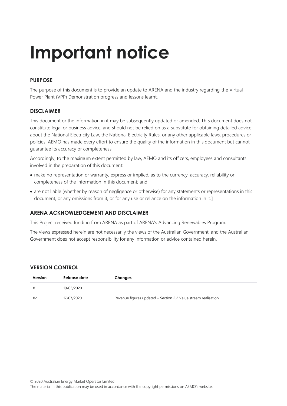# **Important notice**

### **PURPOSE**

The purpose of this document is to provide an update to ARENA and the industry regarding the Virtual Power Plant (VPP) Demonstration progress and lessons learnt.

#### **DISCLAIMER**

This document or the information in it may be subsequently updated or amended. This document does not constitute legal or business advice, and should not be relied on as a substitute for obtaining detailed advice about the National Electricity Law, the National Electricity Rules, or any other applicable laws, procedures or policies. AEMO has made every effort to ensure the quality of the information in this document but cannot guarantee its accuracy or completeness.

Accordingly, to the maximum extent permitted by law, AEMO and its officers, employees and consultants involved in the preparation of this document:

- make no representation or warranty, express or implied, as to the currency, accuracy, reliability or completeness of the information in this document; and
- are not liable (whether by reason of negligence or otherwise) for any statements or representations in this document, or any omissions from it, or for any use or reliance on the information in it.]

#### **ARENA ACKNOWLEDGEMENT AND DISCLAIMER**

This Project received funding from ARENA as part of ARENA's Advancing Renewables Program.

The views expressed herein are not necessarily the views of the Australian Government, and the Australian Government does not accept responsibility for any information or advice contained herein.

#### **VERSION CONTROL**

| Version | Release date | Changes                                                        |
|---------|--------------|----------------------------------------------------------------|
| #1      | 19/03/2020   |                                                                |
| #2      | 17/07/2020   | Revenue figures updated – Section 2.2 Value stream realisation |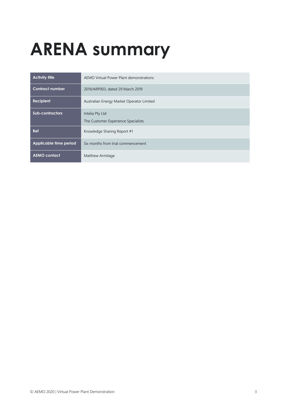# <span id="page-2-0"></span>**ARENA summary**

| <b>Activity title</b>  | AEMO Virtual Power Plant demonstrations                |  |  |  |
|------------------------|--------------------------------------------------------|--|--|--|
| <b>Contract number</b> | 2019/ARP003, dated 29 March 2019                       |  |  |  |
| <b>Recipient</b>       | Australian Energy Market Operator Limited              |  |  |  |
| <b>Sub-contractors</b> | Intelia Pty Ltd<br>The Customer Experience Specialists |  |  |  |
| <b>Ref</b>             | Knowledge Sharing Report #1                            |  |  |  |
| Applicable time period | Six months from trial commencement                     |  |  |  |
| <b>AEMO contact</b>    | Matthew Armitage                                       |  |  |  |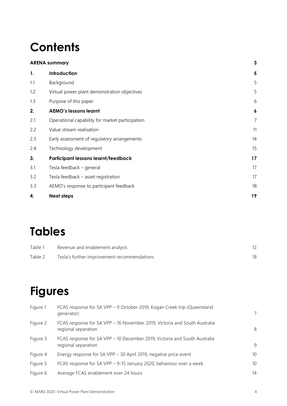# **Contents**

| <b>ARENA summary</b> |                                                 | $\mathbf{3}$            |
|----------------------|-------------------------------------------------|-------------------------|
| 1.                   | Introduction                                    | $\overline{\mathbf{5}}$ |
| 1.1                  | Background                                      | 5                       |
| 1.2                  | Virtual power plant demonstration objectives    | 5                       |
| 1.3                  | Purpose of this paper                           | 6                       |
| 2.                   | <b>AEMO's lessons learnt</b>                    | 6                       |
| 2.1                  | Operational capability for market participation | $\overline{7}$          |
| 2.2                  | Value stream realisation                        | 11                      |
| 2.3                  | Early assessment of regulatory arrangements     | 14                      |
| 2.4                  | Technology development                          | 15                      |
| 3.                   | <b>Participant lessons learnt/feedback</b>      | 17                      |
| 3.1                  | Tesla feedback - general                        | 17                      |
| 3.2                  | Tesla feedback - asset registration             | 17                      |
| 3.3                  | AEMO's response to participant feedback         | 18                      |
| 4.                   | <b>Next steps</b>                               | 19                      |
|                      |                                                 |                         |

# **Tables**

| Table 1 | Revenue and enablement analysis             |  |
|---------|---------------------------------------------|--|
| Table 2 | Tesla's further improvement recommendations |  |

# **Figures**

| Figure 1 | FCAS response for SA VPP - 9 October 2019, Kogan Creek trip (Queensland<br>generator)            | 7  |
|----------|--------------------------------------------------------------------------------------------------|----|
| Figure 2 | FCAS response for SA VPP - 16 November 2019, Victoria and South Australia<br>regional separation | -8 |
| Figure 3 | FCAS response for SA VPP - 10 December 2019, Victoria and South Australia<br>regional separation | 9  |
| Figure 4 | Energy response for SA VPP - 30 April 2019, negative price event                                 | 10 |
| Figure 5 | FCAS response for SA VPP - 9-15 January 2020, behaviour over a week                              | 10 |
| Figure 6 | Average FCAS enablement over 24 hours                                                            | 14 |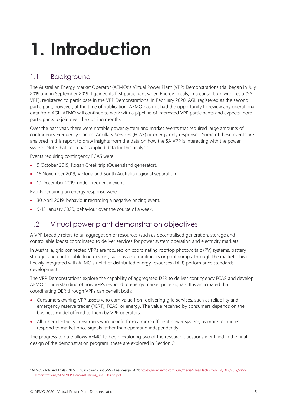# <span id="page-4-0"></span>**1. Introduction**

# <span id="page-4-1"></span>1.1 Background

The Australian Energy Market Operator (AEMO)'s Virtual Power Plant (VPP) Demonstrations trial began in July 2019 and in September 2019 it gained its first participant when Energy Locals, in a consortium with Tesla (SA VPP), registered to participate in the VPP Demonstrations. In February 2020, AGL registered as the second participant; however, at the time of publication, AEMO has not had the opportunity to review any operational data from AGL. AEMO will continue to work with a pipeline of interested VPP participants and expects more participants to join over the coming months.

Over the past year, there were notable power system and market events that required large amounts of contingency Frequency Control Ancillary Services (FCAS) or energy only responses. Some of these events are analysed in this report to draw insights from the data on how the SA VPP is interacting with the power system. Note that Tesla has supplied data for this analysis.

Events requiring contingency FCAS were:

- 9 October 2019, Kogan Creek trip (Queensland generator).
- 16 November 2019, Victoria and South Australia regional separation.
- 10 December 2019, under frequency event.

Events requiring an energy response were:

- 30 April 2019, behaviour regarding a negative pricing event.
- 9-15 January 2020, behaviour over the course of a week.

# <span id="page-4-2"></span>1.2 Virtual power plant demonstration objectives

A VPP broadly refers to an aggregation of resources (such as decentralised generation, storage and controllable loads) coordinated to deliver services for power system operation and electricity markets.

In Australia, grid connected VPPs are focused on coordinating rooftop photovoltaic (PV) systems, battery storage, and controllable load devices, such as air-conditioners or pool pumps, through the market. This is heavily integrated with AEMO's uplift of distributed energy resources (DER) performance standards development.

The VPP Demonstrations explore the capability of aggregated DER to deliver contingency FCAS and develop AEMO's understanding of how VPPs respond to energy market price signals. It is anticipated that coordinating DER through VPPs can benefit both:

- Consumers owning VPP assets who earn value from delivering grid services, such as reliability and emergency reserve trader (RERT), FCAS, or energy. The value received by consumers depends on the business model offered to them by VPP operators.
- All other electricity consumers who benefit from a more efficient power system, as more resources respond to market price signals rather than operating independently.

The progress to date allows AEMO to begin exploring two of the research questions identified in the final design of the demonstration program<sup>1</sup> these are explored in Section [2:](#page-5-1)

<sup>&</sup>lt;sup>1</sup> AEMO, Pilots and Trials - NEM Virtual Power Plant (VPP), final design, 2019[: https://www.aemo.com.au/-/media/Files/Electricity/NEM/DER/2019/VPP-](https://www.aemo.com.au/-/media/Files/Electricity/NEM/DER/2019/VPP-Demonstrations/NEM-VPP-Demonstrations_Final-Design.pdf)[Demonstrations/NEM-VPP-Demonstrations\\_Final-Design.pdf](https://www.aemo.com.au/-/media/Files/Electricity/NEM/DER/2019/VPP-Demonstrations/NEM-VPP-Demonstrations_Final-Design.pdf)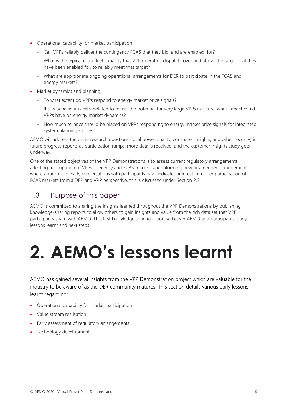- Operational capability for market participation.
	- Can VPPs reliably deliver the contingency FCAS that they bid, and are enabled, for?
	- What is the typical extra fleet capacity that VPP operators dispatch, over and above the target that they have been enabled for, to reliably meet that target?
	- What are appropriate ongoing operational arrangements for DER to participate in the FCAS and energy markets?
- Market dynamics and planning.
	- To what extent do VPPs respond to energy market price signals?
	- If this behaviour is extrapolated to reflect the potential for very large VPPs in future, what impact could VPPs have on energy market dynamics?
	- How much reliance should be placed on VPPs responding to energy market price signals for integrated system planning studies?

AEMO will address the other research questions (local power quality, consumer insights, and cyber security) in future progress reports as participation ramps, more data is received, and the customer insights study gets underway.

One of the stated objectives of the VPP Demonstrations is to assess current regulatory arrangements affecting participation of VPPs in energy and FCAS markets and informing new or amended arrangements where appropriate. Early conversations with participants have indicated interest in further participation of FCAS markets from a DER and VPP perspective, this is discussed under Section [2.3.](#page-13-0)

## <span id="page-5-0"></span>1.3 Purpose of this paper

AEMO is committed to sharing the insights learned throughout the VPP Demonstrations by publishing knowledge-sharing reports to allow others to gain insights and value from the rich data set that VPP participants share with AEMO. This first knowledge sharing report will cover AEMO and participants' early lessons learnt and next steps.

# <span id="page-5-1"></span>**2. AEMO's lessons learnt**

AEMO has gained several insights from the VPP Demonstration project which are valuable for the industry to be aware of as the DER community matures. This section details various early lessons learnt regarding:

- Operational capability for market participation.
- Value stream realisation.
- Early assessment of regulatory arrangements.
- <span id="page-5-2"></span>• Technology development.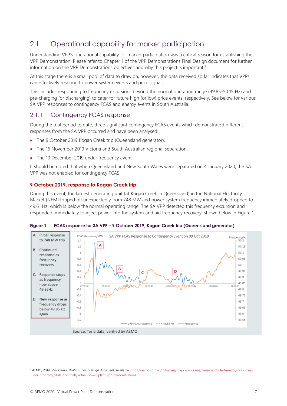# 2.1 Operational capability for market participation

Understanding VPP's operational capability for market participation was a critical reason for establishing the VPP Demonstration. Please refer to Chapter 1 of the VPP Demonstrations Final Design document for further information on the VPP Demonstrations objectives and why this project is important.<sup>2</sup>

At this stage there is a small pool of data to draw on, however, the data received so far indicates that VPPs can effectively respond to power system events and price signals.

This includes responding to frequency excursions beyond the normal operating range (49.85-50.15 Hz) and pre-charging (or discharging) to cater for future high (or low) price events, respectively. See below for various SA VPP responses to contingency FCAS and energy events in South Australia.

### 2.1.1 Contingency FCAS response

During the trial period to date, three significant contingency FCAS events which demonstrated different responses from the SA VPP occurred and have been analysed:

- The 9 October 2019 Kogan Creek trip (Queensland generator).
- The 16 November 2019 Victoria and South Australian regional separation.
- The 10 December 2019 under frequency event.

It should be noted that when Queensland and New South Wales were separated on 4 January 2020, the SA VPP was not enabled for contingency FCAS.

#### **9 October 2019, response to Kogan Creek trip**

During this event, the largest generating unit (at Kogan Creek in Queensland) in the National Electricity Market (NEM) tripped off unexpectedly from 748 MW and power system frequency immediately dropped to 49.61 Hz, which is below the normal operating range. The SA VPP detected this frequency excursion and responded immediately to inject power into the system and aid frequency recovery, shown below in [Figure 1.](#page-6-0)



<span id="page-6-0"></span>**Figure 1 FCAS response for SA VPP – 9 October 2019, Kogan Creek trip (Queensland generator)**

<sup>&</sup>lt;sup>2</sup> AEMO, 2019. VPP Demonstrations Final Design document. Available: [https://aemo.com.au/initiatives/major-programs/nem-distributed-energy-resources](https://aemo.com.au/initiatives/major-programs/nem-distributed-energy-resources-der-program/pilots-and-trials/virtual-power-plant-vpp-demonstrations)[der-program/pilots-and-trials/virtual-power-plant-vpp-demonstrations.](https://aemo.com.au/initiatives/major-programs/nem-distributed-energy-resources-der-program/pilots-and-trials/virtual-power-plant-vpp-demonstrations)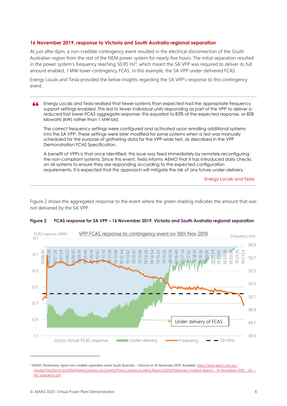#### **16 November 2019, response to Victoria and South Australia regional separation**

At just after 6pm, a non-credible contingency event resulted in the electrical disconnection of the South Australian region from the rest of the NEM power system for nearly five hours. The initial separation resulted in the power system's frequency reaching  $50.85$  Hz<sup>3</sup>, which meant the SA VPP was required to deliver its full amount enabled, 1 MW lower contingency FCAS. In this example, the SA VPP under-delivered FCAS.

Energy Locals and Tesla provided the below insights regarding the SA VPP's response to this contingency event.

#### Energy Locals and Tesla realised that fewer systems than expected had the appropriate frequency support settings enabled. This led to fewer individual units responding as part of the VPP to deliver a reduced fast lower FCAS aggregate response; this equated to 83% of the expected response, or 828 kilowatts (kW) rather than 1 MW bid.

The correct frequency settings were configured and activated upon enrolling additional systems into the SA VPP. These settings were later modified for some systems when a test was manually scheduled for the purpose of gathering data for the VPP-wide test, as described in the VPP Demonstration FCAS Specification.

A benefit of VPPs is that once identified, this issue was fixed immediately by remotely reconfiguring the non-compliant systems. Since this event, Tesla informs AEMO that it has introduced daily checks on all systems to ensure they are responding according to the expected configuration requirements. It is expected that this approach will mitigate the risk of any future under-delivery.

Energy Locals and Tesla

[Figure 2](#page-7-0) shows the aggregated response to the event where the green shading indicates the amount that was not delivered by the SA VPP.



#### <span id="page-7-0"></span>**Figure 2 FCAS response for SA VPP – 16 November 2019, Victoria and South Australia regional separation**

<sup>&</sup>lt;sup>3</sup> AEMO. Preliminary report non-credible separation event South Australia – Victoria on 16 November 2019. Available[: https://www.aemo.com.au/-](https://www.aemo.com.au/-/media/Files/Electricity/NEM/Market_Notices_and_Events/Power_System_Incident_Reports/2019/Preliminary-Incident-Report---16-November-2019---SA---VIC-separation.pdf) /media/Files/Electricity/NEM/Market\_Notices\_and\_Events/Power\_System\_Incident\_Reports/2019/Preliminary-Incident-Report---16-November-2019---SA-[VIC-separation.pdf.](https://www.aemo.com.au/-/media/Files/Electricity/NEM/Market_Notices_and_Events/Power_System_Incident_Reports/2019/Preliminary-Incident-Report---16-November-2019---SA---VIC-separation.pdf)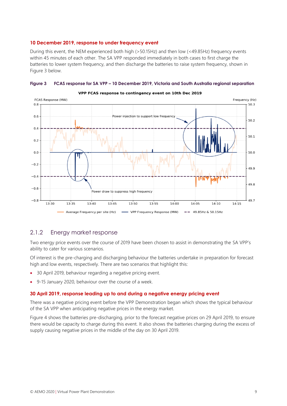#### **10 December 2019, response to under frequency event**

During this event, the NEM experienced both high (>50.15Hz) and then low (<49.85Hz) frequency events within 45 minutes of each other. The SA VPP responded immediately in both cases to first charge the batteries to lower system frequency, and then discharge the batteries to raise system frequency, shown in Figure 3 below.



#### <span id="page-8-0"></span>**Figure 3 FCAS response for SA VPP – 10 December 2019, Victoria and South Australia regional separation**

#### 2.1.2 Energy market response

Two energy price events over the course of 2019 have been chosen to assist in demonstrating the SA VPP's ability to cater for various scenarios.

Of interest is the pre-charging and discharging behaviour the batteries undertake in preparation for forecast high and low events, respectively. There are two scenarios that highlight this:

- 30 April 2019, behaviour regarding a negative pricing event.
- 9-15 January 2020, behaviour over the course of a week.

#### **30 April 2019, response leading up to and during a negative energy pricing event**

There was a negative pricing event before the VPP Demonstration began which shows the typical behaviour of the SA VPP when anticipating negative prices in the energy market.

[Figure 4](#page-9-0) shows the batteries pre-discharging, prior to the forecast negative prices on 29 April 2019, to ensure there would be capacity to charge during this event. It also shows the batteries charging during the excess of supply causing negative prices in the middle of the day on 30 April 2019.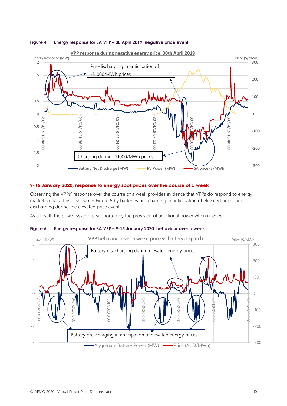#### <span id="page-9-0"></span>**Figure 4 Energy response for SA VPP – 30 April 2019, negative price event**



#### **9-15 January 2020, response to energy spot prices over the course of a week**

Observing the VPPs' response over the course of a week provides evidence that VPPs do respond to energy market signals. This is shown in [Figure 5](#page-9-1) by batteries pre-charging in anticipation of elevated prices and discharging during the elevated price event.

As a result, the power system is supported by the provision of additional power when needed.



#### <span id="page-9-1"></span>**Figure 5 Energy response for SA VPP – 9-15 January 2020, behaviour over a week**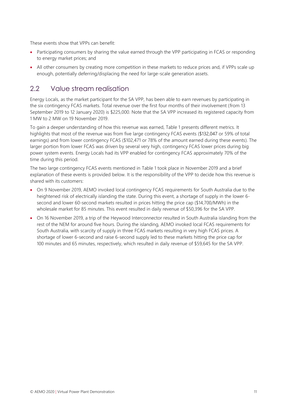These events show that VPPs can benefit:

- Participating consumers by sharing the value earned through the VPP participating in FCAS or responding to energy market prices; and
- All other consumers by creating more competition in these markets to reduce prices and, if VPPs scale up enough, potentially deferring/displacing the need for large-scale generation assets.

## <span id="page-10-0"></span>2.2 Value stream realisation

Energy Locals, as the market participant for the SA VPP, has been able to earn revenues by participating in the six contingency FCAS markets. Total revenue over the first four months of their involvement (from 13 September 2019 to 12 January 2020) is \$225,000. Note that the SA VPP increased its registered capacity from 1 MW to 2 MW on 19 November 2019.

To gain a deeper understanding of how this revenue was earned, [Table 1](#page-11-0) presents different metrics. It highlights that most of the revenue was from five large contingency FCAS events (\$132,047 or 59% of total earnings) and from lower contingency FCAS (\$102,471 or 78% of the amount earned during these events). The larger portion from lower FCAS was driven by several very high, contingency FCAS lower prices during big power system events. Energy Locals had its VPP enabled for contingency FCAS approximately 70% of the time during this period.

The two large contingency FCAS events mentioned in [Table 1](#page-11-0) took place in November 2019 and a brief explanation of these events is provided below. It is the responsibility of the VPP to decide how this revenue is shared with its customers:

- On 9 November 2019, AEMO invoked local contingency FCAS requirements for South Australia due to the heightened risk of electrically islanding the state. During this event, a shortage of supply in the lower 6 second and lower 60-second markets resulted in prices hitting the price cap (\$14,700/MWh) in the wholesale market for 85 minutes. This event resulted in daily revenue of \$50,396 for the SA VPP.
- On 16 November 2019, a trip of the Heywood Interconnector resulted in South Australia islanding from the rest of the NEM for around five hours. During the islanding, AEMO invoked local FCAS requirements for South Australia, with scarcity of supply in three FCAS markets resulting in very high FCAS prices. A shortage of lower 6-second and raise 6-second supply led to these markets hitting the price cap for 100 minutes and 65 minutes, respectively, which resulted in daily revenue of \$59,645 for the SA VPP.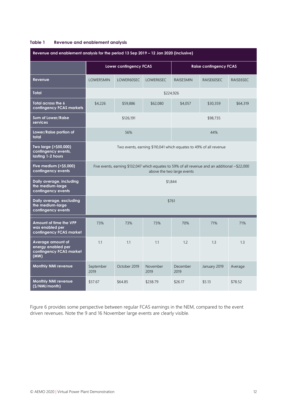#### <span id="page-11-0"></span>**Table 1 Revenue and enablement analysis**

| Revenue and enablement analysis for the period 13 Sep 2019 - 12 Jan 2020 (inclusive) |                                                                                                                                    |              |                  |                               |              |           |  |
|--------------------------------------------------------------------------------------|------------------------------------------------------------------------------------------------------------------------------------|--------------|------------------|-------------------------------|--------------|-----------|--|
|                                                                                      | Lower contingency FCAS                                                                                                             |              |                  | <b>Raise contingency FCAS</b> |              |           |  |
| Revenue                                                                              | LOWER5MIN                                                                                                                          | LOWER60SEC   | LOWER6SEC        | RAISE5MIN                     | RAISE60SEC   | RAISE6SEC |  |
| <b>Total</b>                                                                         | \$224,926                                                                                                                          |              |                  |                               |              |           |  |
| Total across the 6<br>contingency FCAS markets                                       | \$4,226                                                                                                                            | \$59,886     | \$62,080         | \$4,057                       | \$30,359     | \$64,319  |  |
| <b>Sum of Lower/Raise</b><br>services                                                | \$126,191                                                                                                                          |              |                  | \$98,735                      |              |           |  |
| Lower/Raise portion of<br>total                                                      | 56%                                                                                                                                |              |                  |                               | 44%          |           |  |
| Two large (>\$50,000)<br>contingency events,<br>lasting 1-2 hours                    | Two events, earning \$110,041 which equates to 49% of all revenue                                                                  |              |                  |                               |              |           |  |
| Five medium (>\$5,000)<br>contingency events                                         | Five events, earning \$132,047 which equates to 59% of all revenue and an additional $\sim$ \$22,000<br>above the two large events |              |                  |                               |              |           |  |
| Daily average, including<br>the medium-large<br>contingency events                   | \$1,844                                                                                                                            |              |                  |                               |              |           |  |
| Daily average, excluding<br>the medium-large<br>contingency events                   | \$761                                                                                                                              |              |                  |                               |              |           |  |
| Amount of time the VPP<br>was enabled per<br>contingency FCAS market                 | 73%                                                                                                                                | 73%          | 73%              | 70%                           | 71%          | 71%       |  |
| Average amount of<br>energy enabled per<br>contingency FCAS market<br>(MW)           | 1.1                                                                                                                                | 1.1          | 1.1              | 1.2                           | 1.3          | 1.3       |  |
| <b>Monthly NMI revenue</b>                                                           | September<br>2019                                                                                                                  | October 2019 | November<br>2019 | December<br>2019              | January 2019 | Average   |  |
| <b>Monthly NMI revenue</b><br>(\$/NMI/month)                                         | \$57.67                                                                                                                            | \$64.85      | \$238.79         | \$26.17                       | \$5.13       | \$78.52   |  |

[Figure 6](#page-12-0) provides some perspective between regular FCAS earnings in the NEM, compared to the event driven revenues. Note the 9 and 16 November large events are clearly visible.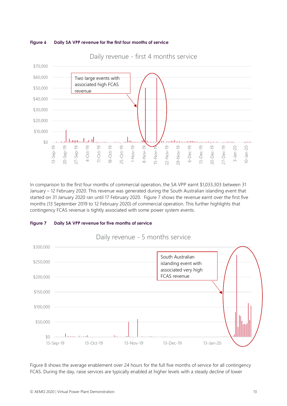<span id="page-12-0"></span>



Daily revenue - first 4 months service

In comparison to the first four months of commercial operation, the SA VPP earnt \$1,033,303 between 31 January – 12 February 2020. This revenue was generated during the South Australian islanding event that started on 31 January 2020 ran until 17 February 2020. [Figure 7](#page-12-1) shows the revenue earnt over the first five months (13 September 2019 to 12 February 2020) of commercial operation. This further highlights that contingency FCAS revenue is tightly associated with some power system events.

<span id="page-12-1"></span>



Daily revenue - 5 months service

[Figure 8](#page-13-1) shows the average enablement over 24 hours for the full five months of service for all contingency FCAS. During the day, raise services are typically enabled at higher levels with a steady decline of lower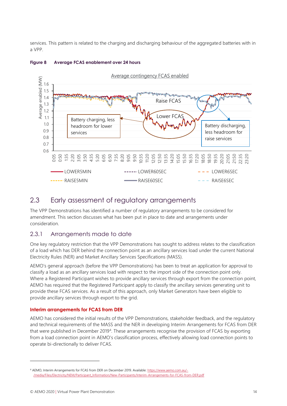services. This pattern is related to the charging and discharging behaviour of the aggregated batteries with in a VPP.



#### <span id="page-13-1"></span>**Figure 8 Average FCAS enablement over 24 hours**

### <span id="page-13-0"></span>2.3 Early assessment of regulatory arrangements

The VPP Demonstrations has identified a number of regulatory arrangements to be considered for amendment. This section discusses what has been put in place to date and arrangements under consideration.

#### 2.3.1 Arrangements made to date

One key regulatory restriction that the VPP Demonstrations has sought to address relates to the classification of a load which has DER behind the connection point as an ancillary services load under the current National Electricity Rules (NER) and Market Ancillary Services Specifications (MASS).

AEMO's general approach (before the VPP Demonstrations) has been to treat an application for approval to classify a load as an ancillary services load with respect to the import side of the connection point only. Where a Registered Participant wishes to provide ancillary services through export from the connection point, AEMO has required that the Registered Participant apply to classify the ancillary services generating unit to provide these FCAS services. As a result of this approach, only Market Generators have been eligible to provide ancillary services through export to the grid.

#### **Interim arrangements for FCAS from DER**

AEMO has considered the initial results of the VPP Demonstrations, stakeholder feedback, and the regulatory and technical requirements of the MASS and the NER in developing Interim Arrangements for FCAS from DER that were published in December 2019<sup>4</sup> . These arrangements recognise the provision of FCAS by exporting from a load connection point in AEMO's classification process, effectively allowing load connection points to operate bi-directionally to deliver FCAS.

<sup>4</sup> AEMO, Interim Arrangements for FCAS from DER on December 2019. Available: [https://www.aemo.com.au/-](https://www.aemo.com.au/-/media/Files/Electricity/NEM/Participant_Information/New-Participants/Interim-Arrangements-for-FCAS-from-DER.pdf) [/media/Files/Electricity/NEM/Participant\\_Information/New-Participants/Interim-Arrangements-for-FCAS-from-DER.pdf](https://www.aemo.com.au/-/media/Files/Electricity/NEM/Participant_Information/New-Participants/Interim-Arrangements-for-FCAS-from-DER.pdf)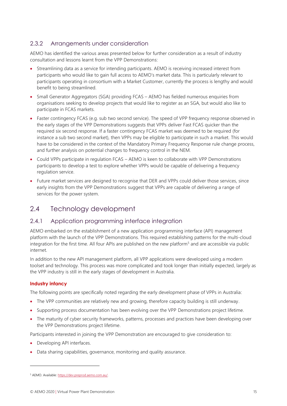### 2.3.2 Arrangements under consideration

AEMO has identified the various areas presented below for further consideration as a result of industry consultation and lessons learnt from the VPP Demonstrations:

- Streamlining data as a service for intending participants. AEMO is receiving increased interest from participants who would like to gain full access to AEMO's market data. This is particularly relevant to participants operating in consortium with a Market Customer, currently the process is lengthy and would benefit to being streamlined.
- Small Generator Aggregators (SGA) providing FCAS AEMO has fielded numerous enquiries from organisations seeking to develop projects that would like to register as an SGA, but would also like to participate in FCAS markets.
- Faster contingency FCAS (e.g. sub two second service). The speed of VPP frequency response observed in the early stages of the VPP Demonstrations suggests that VPPs deliver Fast FCAS quicker than the required six second response. If a faster contingency FCAS market was deemed to be required (for instance a sub two second market), then VPPs may be eligible to participate in such a market. This would have to be considered in the context of the Mandatory Primary Frequency Response rule change process, and further analysis on potential changes to frequency control in the NEM.
- Could VPPs participate in regulation FCAS AEMO is keen to collaborate with VPP Demonstrations participants to develop a test to explore whether VPPs would be capable of delivering a frequency regulation service.
- Future market services are designed to recognise that DER and VPPs could deliver those services, since early insights from the VPP Demonstrations suggest that VPPs are capable of delivering a range of services for the power system.

## <span id="page-14-0"></span>2.4 Technology development

### 2.4.1 Application programming interface integration

AEMO embarked on the establishment of a new application programming interface (API) management platform with the launch of the VPP Demonstrations. This required establishing patterns for the multi-cloud integration for the first time. All four APIs are published on the new platform<sup>5</sup> and are accessible via public internet.

In addition to the new API management platform, all VPP applications were developed using a modern toolset and technology. This process was more complicated and took longer than initially expected, largely as the VPP industry is still in the early stages of development in Australia.

#### **Industry infancy**

The following points are specifically noted regarding the early development phase of VPPs in Australia:

- The VPP communities are relatively new and growing, therefore capacity building is still underway.
- Supporting process documentation has been evolving over the VPP Demonstrations project lifetime.
- The maturity of cyber security frameworks, patterns, processes and practices have been developing over the VPP Demonstrations project lifetime.

Participants interested in joining the VPP Demonstration are encouraged to give consideration to:

- Developing API interfaces.
- Data sharing capabilities, governance, monitoring and quality assurance.

<sup>5</sup> AEMO. Available: [https://dev.preprod.aemo.com.au/.](https://dev.preprod.aemo.com.au/)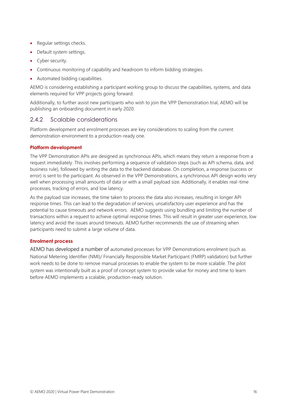- Regular settings checks.
- Default system settings.
- Cyber security.
- Continuous monitoring of capability and headroom to inform bidding strategies.
- Automated bidding capabilities.

AEMO is considering establishing a participant working group to discuss the capabilities, systems, and data elements required for VPP projects going forward.

Additionally, to further assist new participants who wish to join the VPP Demonstration trial, AEMO will be publishing an onboarding document in early 2020.

#### 2.4.2 Scalable considerations

Platform development and enrolment processes are key considerations to scaling from the current demonstration environment to a production-ready one.

#### **Platform development**

The VPP Demonstration APIs are designed as synchronous APIs, which means they return a response from a request immediately. This involves performing a sequence of validation steps (such as API schema, data, and business rule), followed by writing the data to the backend database. On completion, a response (success or error) is sent to the participant. As observed in the VPP Demonstrations, a synchronous API design works very well when processing small amounts of data or with a small payload size. Additionally, it enables real-time processes, tracking of errors, and low latency.

As the payload size increases, the time taken to process the data also increases, resulting in longer API response times. This can lead to the degradation of services, unsatisfactory user experience and has the potential to cause timeouts and network errors. AEMO suggests using bundling and limiting the number of transactions within a request to achieve optimal response times. This will result in greater user experience, low latency and avoid the issues around timeouts. AEMO further recommends the use of streaming when participants need to submit a large volume of data.

#### **Enrolment process**

AEMO has developed a number of automated processes for VPP Demonstrations enrolment (such as National Metering Identifier (NMI)/ Financially Responsible Market Participant (FMRP) validation) but further work needs to be done to remove manual processes to enable the system to be more scalable. The pilot system was intentionally built as a proof of concept system to provide value for money and time to learn before AEMO implements a scalable, production-ready solution.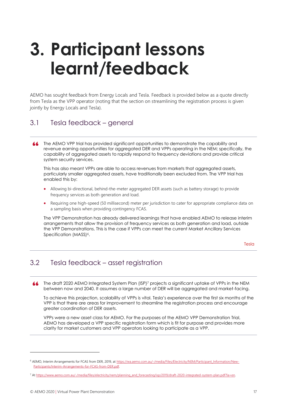# <span id="page-16-0"></span>**3. Participant lessons learnt/feedback**

AEMO has sought feedback from Energy Locals and Tesla. Feedback is provided below as a quote directly from Tesla as the VPP operator (noting that the section on streamlining the registration process is given jointly by Energy Locals and Tesla).

## <span id="page-16-1"></span>3.1 Tesla feedback – general

**44** The AEMO VPP trial has provided significant opportunities to demonstrate the capability and revenue earning opportunities for aggregated DER and VPPs operating in the NEM; specifically, the capability of aggregated assets to rapidly respond to frequency deviations and provide critical system security services.

This has also meant VPPs are able to access revenues from markets that aggregated assets, particularly smaller aggregated assets, have traditionally been excluded from. The VPP trial has enabled this by:

- Allowing bi-directional, behind-the-meter aggregated DER assets (such as battery storage) to provide frequency services as both generation and load.
- Requiring one high-speed (50 millisecond) meter per jurisdiction to cater for appropriate compliance data on a sampling basis when providing contingency FCAS.

The VPP Demonstration has already delivered learnings that have enabled AEMO to release interim arrangements that allow the provision of frequency services as both generation and load, outside the VPP Demonstrations. This is the case if VPPs can meet the current Market Ancillary Services Specification (MASS)<sup>6</sup>.

Tesla

# <span id="page-16-2"></span>3.2 Tesla feedback – asset registration

The draft 2020 AEMO Integrated System Plan (ISP)<sup>7</sup> projects a significant uptake of VPPs in the NEM 44 between now and 2040. It assumes a large number of DER will be aggregated and market-facing.

To achieve this projection, scalability of VPPs is vital. Tesla's experience over the first six months of the VPP is that there are areas for improvement to streamline the registration process and encourage greater coordination of DER assets.

VPPs were a new asset class for AEMO. For the purposes of the AEMO VPP Demonstration Trial, AEMO has developed a VPP specific registration form which is fit for purpose and provides more clarity for market customers and VPP operators looking to participate as a VPP.

<sup>&</sup>lt;sup>6</sup> AEMO, Interim Arrangements for FCAS from DER, 2019, at [https://wa.aemo.com.au/-/media/Files/Electricity/NEM/Participant\\_Information/New-](https://wa.aemo.com.au/-/media/Files/Electricity/NEM/Participant_Information/New-Participants/Interim-Arrangements-for-FCAS-from-DER.pdf)[Participants/Interim-Arrangements-for-FCAS-from-DER.pdf.](https://wa.aemo.com.au/-/media/Files/Electricity/NEM/Participant_Information/New-Participants/Interim-Arrangements-for-FCAS-from-DER.pdf)

<sup>7</sup> A[t https://www.aemo.com.au/-/media/files/electricity/nem/planning\\_and\\_forecasting/isp/2019/draft-2020-integrated-system-plan.pdf?la=en.](https://www.aemo.com.au/-/media/files/electricity/nem/planning_and_forecasting/isp/2019/draft-2020-integrated-system-plan.pdf?la=en)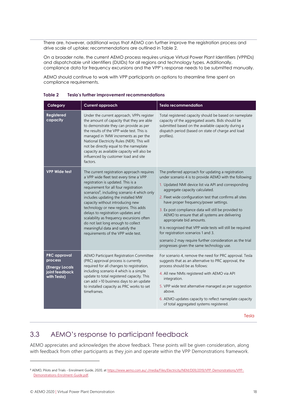There are, however, additional ways that AEMO can further improve the registration process and drive scale of uptake; recommendations are outlined in Table 2.

On a broader note, the current AEMO process requires unique Virtual Power Plant Identifiers (VPPIDs) and dispatchable unit identifiers (DUIDs) for all regions and technology types. Additionally, compliance data for frequency excursions and the VPP's response needs to be submitted manually.

AEMO should continue to work with VPP participants on options to streamline time spent on compliance requirements.

| Category                                                                          | Current approach                                                                                                                                                                                                                                                                                                                                                                                                                                                                                                                                    | <b>Tesla recommendation</b>                                                                                                                                                                                                                                                                                                                                                                                                                                                                                                                                                                                                                                        |  |  |  |
|-----------------------------------------------------------------------------------|-----------------------------------------------------------------------------------------------------------------------------------------------------------------------------------------------------------------------------------------------------------------------------------------------------------------------------------------------------------------------------------------------------------------------------------------------------------------------------------------------------------------------------------------------------|--------------------------------------------------------------------------------------------------------------------------------------------------------------------------------------------------------------------------------------------------------------------------------------------------------------------------------------------------------------------------------------------------------------------------------------------------------------------------------------------------------------------------------------------------------------------------------------------------------------------------------------------------------------------|--|--|--|
| <b>Registered</b><br>capacity                                                     | Under the current approach, VPPs register<br>the amount of capacity that they are able<br>to demonstrate they can provide as per<br>the results of the VPP wide test. This is<br>managed in 1MW increments as per the<br>National Electricity Rules (NER). This will<br>not be directly equal to the nameplate<br>capacity as available capacity will also be<br>influenced by customer load and site<br>factors.                                                                                                                                   | Total registered capacity should be based on nameplate<br>capacity of the aggregated assets. Bids should be<br>submitted based on the available capacity during a<br>dispatch period (based on state of charge and load<br>profiles).                                                                                                                                                                                                                                                                                                                                                                                                                              |  |  |  |
| <b>VPP Wide test</b>                                                              | The current registration approach requires<br>a VPP wide fleet test every time a VPP<br>registration is updated. This is a<br>requirement for all four registration<br>scenarios <sup>8</sup> , including scenario 4 which only<br>includes updating the installed MW<br>capacity without introducing new<br>technology or new regions. This adds<br>delays to registration updates and<br>scalability as frequency excursions often<br>do not last long enough to collect<br>meaningful data and satisfy the<br>requirements of the VPP wide test. | The preferred approach for updating a registration<br>under scenario 4 is to provide AEMO with the following:<br>1. Updated NMI device list via API and corresponding<br>aggregate capacity calculated.<br>2. Fleet wide configuration test that confirms all sites<br>have proper frequency/power settings.<br>3. Ex post compliance data will still be provided to<br>AEMO to ensure that all systems are delivering<br>appropriate bid amounts.<br>It is recognised that VPP wide tests will still be required<br>for registration scenarios 1 and 3.<br>scenario 2 may require further consideration as the trial<br>progresses given the same technology use. |  |  |  |
| <b>PRC</b> approval<br>process<br>(Energy Locals<br>joint feedback<br>with Tesla) | AEMO Participant Registration Committee<br>(PRC) approval process is currently<br>required for all changes to registration,<br>including scenario 4 which is a simple<br>update to total registered capacity. This<br>can add >10 business days to an update<br>to installed capacity as PRC works to set<br>timeframes.                                                                                                                                                                                                                            | For scenario 4, remove the need for PRC approval. Tesla<br>suggests that as an alternative to PRC approval, the<br>process should be as follows:<br>4. All new NMIs registered with AEMO via API<br>integration.<br>5. VPP wide test alternative managed as per suggestion<br>above.<br>6. AEMO updates capacity to reflect nameplate capacity<br>of total aggregated systems registered.                                                                                                                                                                                                                                                                          |  |  |  |

#### <span id="page-17-1"></span>**Table 2 Tesla's further improvement recommendations**

Tesla

## <span id="page-17-0"></span>3.3 AEMO's response to participant feedback

AEMO appreciates and acknowledges the above feedback. These points will be given consideration, along with feedback from other participants as they join and operate within the VPP Demonstrations framework.

<sup>8</sup> AEMO, Pilots and Trials - Enrolment Guide, 2020, a[t https://www.aemo.com.au/-/media/Files/Electricity/NEM/DER/2019/VPP-Demonstrations/VPP-](https://www.aemo.com.au/-/media/Files/Electricity/NEM/DER/2019/VPP-Demonstrations/VPP-Demonstrations-Enrolment-Guide.pdf)[Demonstrations-Enrolment-Guide.pdf.](https://www.aemo.com.au/-/media/Files/Electricity/NEM/DER/2019/VPP-Demonstrations/VPP-Demonstrations-Enrolment-Guide.pdf)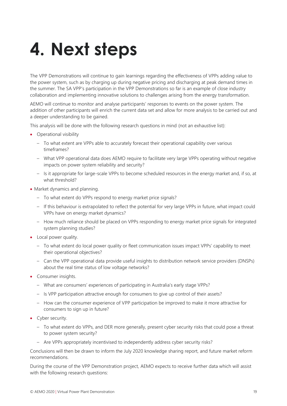# <span id="page-18-0"></span>**4. Next steps**

The VPP Demonstrations will continue to gain learnings regarding the effectiveness of VPPs adding value to the power system, such as by charging up during negative pricing and discharging at peak demand times in the summer. The SA VPP's participation in the VPP Demonstrations so far is an example of close industry collaboration and implementing innovative solutions to challenges arising from the energy transformation.

AEMO will continue to monitor and analyse participants' responses to events on the power system. The addition of other participants will enrich the current data set and allow for more analysis to be carried out and a deeper understanding to be gained.

This analysis will be done with the following research questions in mind (not an exhaustive list):

- Operational visibility
	- To what extent are VPPs able to accurately forecast their operational capability over various timeframes?
	- What VPP operational data does AEMO require to facilitate very large VPPs operating without negative impacts on power system reliability and security?
	- Is it appropriate for large-scale VPPs to become scheduled resources in the energy market and, if so, at what threshold?
- Market dynamics and planning.
	- To what extent do VPPs respond to energy market price signals?
	- If this behaviour is extrapolated to reflect the potential for very large VPPs in future, what impact could VPPs have on energy market dynamics?
	- How much reliance should be placed on VPPs responding to energy market price signals for integrated system planning studies?
- Local power quality.
	- To what extent do local power quality or fleet communication issues impact VPPs' capability to meet their operational objectives?
	- Can the VPP operational data provide useful insights to distribution network service providers (DNSPs) about the real time status of low voltage networks?
- Consumer insights.
	- What are consumers' experiences of participating in Australia's early stage VPPs?
	- Is VPP participation attractive enough for consumers to give up control of their assets?
	- How can the consumer experience of VPP participation be improved to make it more attractive for consumers to sign up in future?
- Cyber security.
	- To what extent do VPPs, and DER more generally, present cyber security risks that could pose a threat to power system security?
	- Are VPPs appropriately incentivised to independently address cyber security risks?

Conclusions will then be drawn to inform the July 2020 knowledge sharing report, and future market reform recommendations.

During the course of the VPP Demonstration project, AEMO expects to receive further data which will assist with the following research questions: